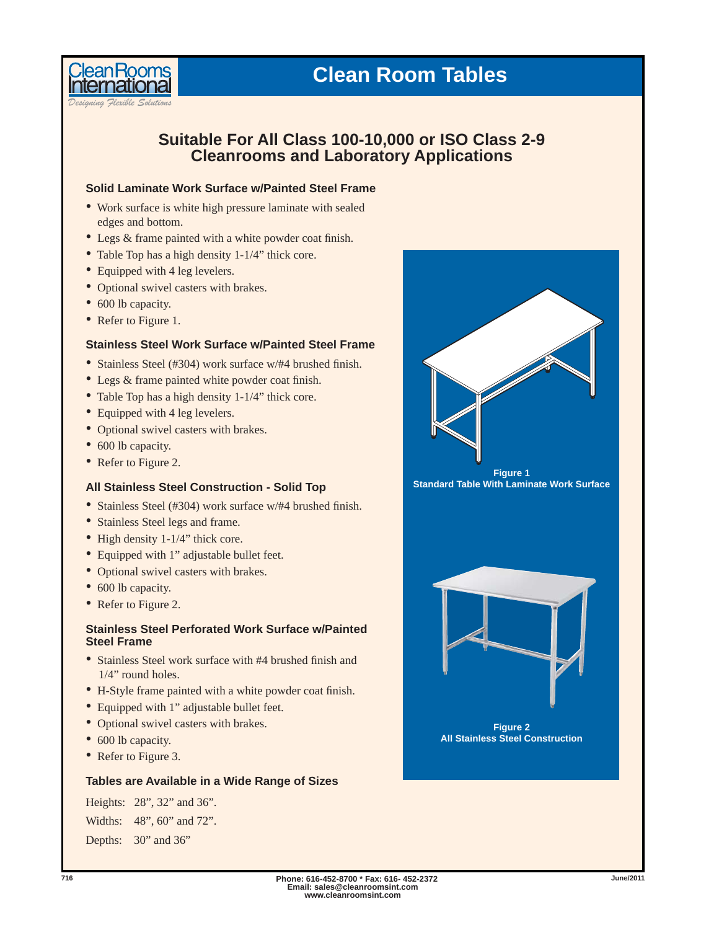# **Clean Room Tables**

*Designing Flexible Solutions*

**lean Rooms** 

# **Suitable For All Class 100-10,000 or ISO Class 2-9 Cleanrooms and Laboratory Applications**

## **Solid Laminate Work Surface w/Painted Steel Frame**

- Work surface is white high pressure laminate with sealed edges and bottom.
- Legs & frame painted with a white powder coat finish.
- Table Top has a high density 1-1/4" thick core.
- Equipped with 4 leg levelers.
- Optional swivel casters with brakes.
- 600 lb capacity.
- Refer to Figure 1.

#### **Stainless Steel Work Surface w/Painted Steel Frame**

- Stainless Steel (#304) work surface  $w/#4$  brushed finish.
- Legs & frame painted white powder coat finish.
- Table Top has a high density 1-1/4" thick core.
- Equipped with 4 leg levelers.
- Optional swivel casters with brakes.
- 600 lb capacity.
- Refer to Figure 2.

#### **All Stainless Steel Construction - Solid Top**

- Stainless Steel (#304) work surface  $w/#4$  brushed finish.
- Stainless Steel legs and frame.
- High density 1-1/4" thick core.
- Equipped with 1" adjustable bullet feet.
- Optional swivel casters with brakes.
- 600 lb capacity.
- Refer to Figure 2.

# **Stainless Steel Perforated Work Surface w/Painted Steel Frame**

- Stainless Steel work surface with  $#4$  brushed finish and 1/4" round holes.
- H-Style frame painted with a white powder coat finish.
- Equipped with 1" adjustable bullet feet.
- Optional swivel casters with brakes.
- 600 lb capacity.
- Refer to Figure 3.

## **Tables are Available in a Wide Range of Sizes**

Heights: 28", 32" and 36". Widths: 48", 60" and 72". Depths: 30" and 36"